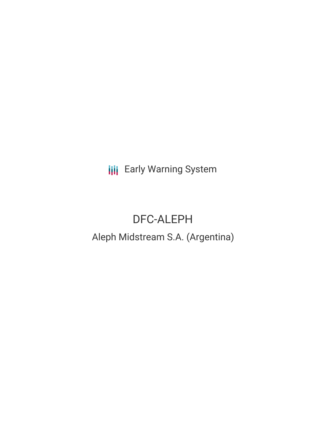**III** Early Warning System

# DFC-ALEPH

## Aleph Midstream S.A. (Argentina)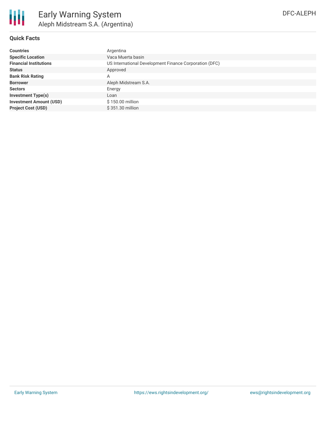

### **Quick Facts**

| <b>Countries</b>               | Argentina                                              |
|--------------------------------|--------------------------------------------------------|
| <b>Specific Location</b>       | Vaca Muerta basin                                      |
| <b>Financial Institutions</b>  | US International Development Finance Corporation (DFC) |
| <b>Status</b>                  | Approved                                               |
| <b>Bank Risk Rating</b>        | A                                                      |
| <b>Borrower</b>                | Aleph Midstream S.A.                                   |
| <b>Sectors</b>                 | Energy                                                 |
| <b>Investment Type(s)</b>      | Loan                                                   |
| <b>Investment Amount (USD)</b> | \$150.00 million                                       |
| <b>Project Cost (USD)</b>      | \$351.30 million                                       |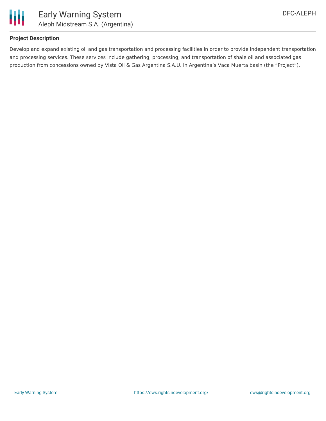

#### **Project Description**

Develop and expand existing oil and gas transportation and processing facilities in order to provide independent transportation and processing services. These services include gathering, processing, and transportation of shale oil and associated gas production from concessions owned by Vista Oil & Gas Argentina S.A.U. in Argentina's Vaca Muerta basin (the "Project").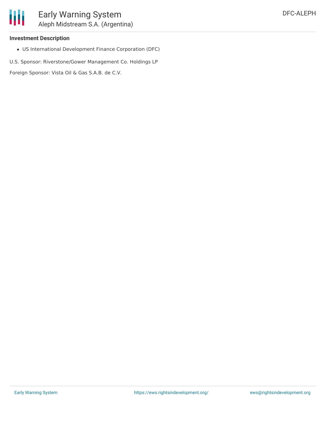#### **Investment Description**

US International Development Finance Corporation (DFC)

U.S. Sponsor: Riverstone/Gower Management Co. Holdings LP

Foreign Sponsor: Vista Oil & Gas S.A.B. de C.V.